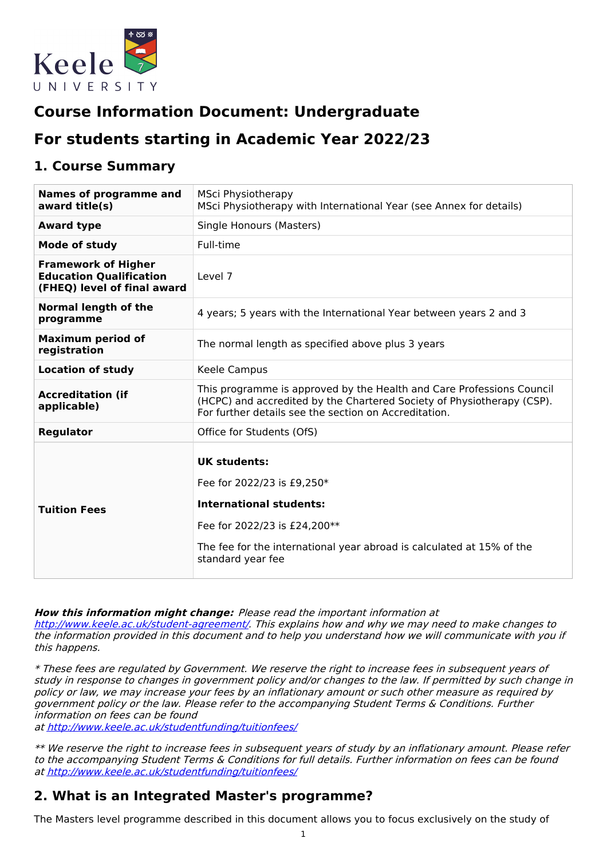

# **Course Information Document: Undergraduate**

# **For students starting in Academic Year 2022/23**

### **1. Course Summary**

| <b>Names of programme and</b><br>award title(s)                                             | <b>MSci Physiotherapy</b><br>MSci Physiotherapy with International Year (see Annex for details)                                                                                                                   |
|---------------------------------------------------------------------------------------------|-------------------------------------------------------------------------------------------------------------------------------------------------------------------------------------------------------------------|
| <b>Award type</b>                                                                           | Single Honours (Masters)                                                                                                                                                                                          |
| Mode of study                                                                               | Full-time                                                                                                                                                                                                         |
| <b>Framework of Higher</b><br><b>Education Qualification</b><br>(FHEQ) level of final award | Level 7                                                                                                                                                                                                           |
| <b>Normal length of the</b><br>programme                                                    | 4 years; 5 years with the International Year between years 2 and 3                                                                                                                                                |
| <b>Maximum period of</b><br>registration                                                    | The normal length as specified above plus 3 years                                                                                                                                                                 |
| <b>Location of study</b>                                                                    | Keele Campus                                                                                                                                                                                                      |
| <b>Accreditation (if</b><br>applicable)                                                     | This programme is approved by the Health and Care Professions Council<br>(HCPC) and accredited by the Chartered Society of Physiotherapy (CSP).<br>For further details see the section on Accreditation.          |
| <b>Regulator</b>                                                                            | Office for Students (OfS)                                                                                                                                                                                         |
| <b>Tuition Fees</b>                                                                         | <b>UK students:</b><br>Fee for 2022/23 is £9,250*<br><b>International students:</b><br>Fee for 2022/23 is £24,200**<br>The fee for the international year abroad is calculated at 15% of the<br>standard year fee |

**How this information might change:** Please read the important information at

<http://www.keele.ac.uk/student-agreement/>. This explains how and why we may need to make changes to the information provided in this document and to help you understand how we will communicate with you if this happens.

\* These fees are regulated by Government. We reserve the right to increase fees in subsequent years of study in response to changes in government policy and/or changes to the law. If permitted by such change in policy or law, we may increase your fees by an inflationary amount or such other measure as required by government policy or the law. Please refer to the accompanying Student Terms & Conditions. Further information on fees can be found

at <http://www.keele.ac.uk/studentfunding/tuitionfees/>

\*\* We reserve the right to increase fees in subsequent years of study by an inflationary amount. Please refer to the accompanying Student Terms & Conditions for full details. Further information on fees can be found at <http://www.keele.ac.uk/studentfunding/tuitionfees/>

# **2. What is an Integrated Master's programme?**

The Masters level programme described in this document allows you to focus exclusively on the study of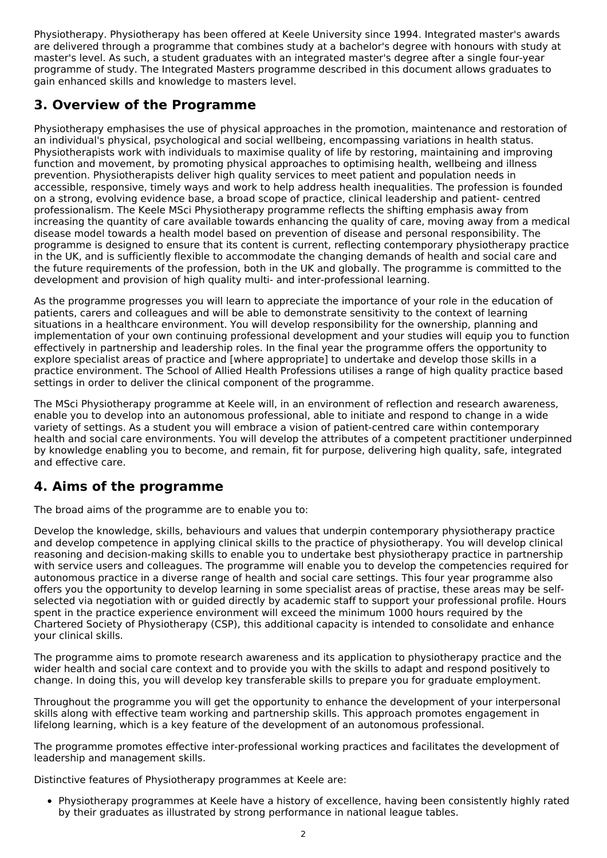Physiotherapy. Physiotherapy has been offered at Keele University since 1994. Integrated master's awards are delivered through a programme that combines study at a bachelor's degree with honours with study at master's level. As such, a student graduates with an integrated master's degree after a single four-year programme of study. The Integrated Masters programme described in this document allows graduates to gain enhanced skills and knowledge to masters level.

# **3. Overview of the Programme**

Physiotherapy emphasises the use of physical approaches in the promotion, maintenance and restoration of an individual's physical, psychological and social wellbeing, encompassing variations in health status. Physiotherapists work with individuals to maximise quality of life by restoring, maintaining and improving function and movement, by promoting physical approaches to optimising health, wellbeing and illness prevention. Physiotherapists deliver high quality services to meet patient and population needs in accessible, responsive, timely ways and work to help address health inequalities. The profession is founded on a strong, evolving evidence base, a broad scope of practice, clinical leadership and patient- centred professionalism. The Keele MSci Physiotherapy programme reflects the shifting emphasis away from increasing the quantity of care available towards enhancing the quality of care, moving away from a medical disease model towards a health model based on prevention of disease and personal responsibility. The programme is designed to ensure that its content is current, reflecting contemporary physiotherapy practice in the UK, and is sufficiently flexible to accommodate the changing demands of health and social care and the future requirements of the profession, both in the UK and globally. The programme is committed to the development and provision of high quality multi- and inter-professional learning.

As the programme progresses you will learn to appreciate the importance of your role in the education of patients, carers and colleagues and will be able to demonstrate sensitivity to the context of learning situations in a healthcare environment. You will develop responsibility for the ownership, planning and implementation of your own continuing professional development and your studies will equip you to function effectively in partnership and leadership roles. In the final year the programme offers the opportunity to explore specialist areas of practice and [where appropriate] to undertake and develop those skills in a practice environment. The School of Allied Health Professions utilises a range of high quality practice based settings in order to deliver the clinical component of the programme.

The MSci Physiotherapy programme at Keele will, in an environment of reflection and research awareness, enable you to develop into an autonomous professional, able to initiate and respond to change in a wide variety of settings. As a student you will embrace a vision of patient-centred care within contemporary health and social care environments. You will develop the attributes of a competent practitioner underpinned by knowledge enabling you to become, and remain, fit for purpose, delivering high quality, safe, integrated and effective care.

# **4. Aims of the programme**

The broad aims of the programme are to enable you to:

Develop the knowledge, skills, behaviours and values that underpin contemporary physiotherapy practice and develop competence in applying clinical skills to the practice of physiotherapy. You will develop clinical reasoning and decision-making skills to enable you to undertake best physiotherapy practice in partnership with service users and colleagues. The programme will enable you to develop the competencies required for autonomous practice in a diverse range of health and social care settings. This four year programme also offers you the opportunity to develop learning in some specialist areas of practise, these areas may be selfselected via negotiation with or guided directly by academic staff to support your professional profile. Hours spent in the practice experience environment will exceed the minimum 1000 hours required by the Chartered Society of Physiotherapy (CSP), this additional capacity is intended to consolidate and enhance your clinical skills.

The programme aims to promote research awareness and its application to physiotherapy practice and the wider health and social care context and to provide you with the skills to adapt and respond positively to change. In doing this, you will develop key transferable skills to prepare you for graduate employment.

Throughout the programme you will get the opportunity to enhance the development of your interpersonal skills along with effective team working and partnership skills. This approach promotes engagement in lifelong learning, which is a key feature of the development of an autonomous professional.

The programme promotes effective inter-professional working practices and facilitates the development of leadership and management skills.

Distinctive features of Physiotherapy programmes at Keele are:

Physiotherapy programmes at Keele have a history of excellence, having been consistently highly rated by their graduates as illustrated by strong performance in national league tables.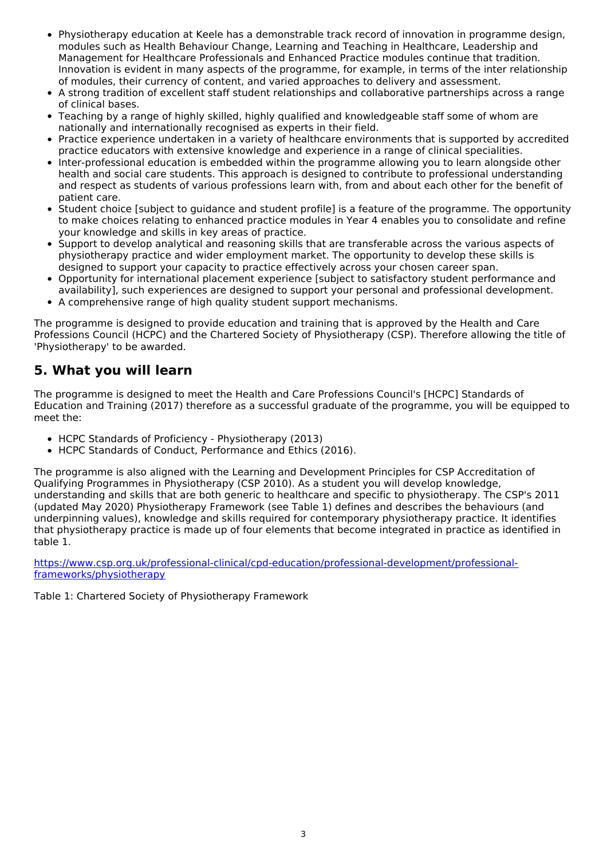- Physiotherapy education at Keele has a demonstrable track record of innovation in programme design, modules such as Health Behaviour Change, Learning and Teaching in Healthcare, Leadership and Management for Healthcare Professionals and Enhanced Practice modules continue that tradition. Innovation is evident in many aspects of the programme, for example, in terms of the inter relationship of modules, their currency of content, and varied approaches to delivery and assessment.
- A strong tradition of excellent staff student relationships and collaborative partnerships across a range  $\bullet$ of clinical bases.
- Teaching by a range of highly skilled, highly qualified and knowledgeable staff some of whom are nationally and internationally recognised as experts in their field.
- Practice experience undertaken in a variety of healthcare environments that is supported by accredited  $\bullet$ practice educators with extensive knowledge and experience in a range of clinical specialities.
- Inter-professional education is embedded within the programme allowing you to learn alongside other health and social care students. This approach is designed to contribute to professional understanding and respect as students of various professions learn with, from and about each other for the benefit of patient care.
- Student choice [subject to guidance and student profile] is a feature of the programme. The opportunity to make choices relating to enhanced practice modules in Year 4 enables you to consolidate and refine your knowledge and skills in key areas of practice.
- Support to develop analytical and reasoning skills that are transferable across the various aspects of physiotherapy practice and wider employment market. The opportunity to develop these skills is designed to support your capacity to practice effectively across your chosen career span.
- Opportunity for international placement experience [subject to satisfactory student performance and availability], such experiences are designed to support your personal and professional development.
- A comprehensive range of high quality student support mechanisms.

The programme is designed to provide education and training that is approved by the Health and Care Professions Council (HCPC) and the Chartered Society of Physiotherapy (CSP). Therefore allowing the title of 'Physiotherapy' to be awarded.

### **5. What you will learn**

The programme is designed to meet the Health and Care Professions Council's [HCPC] Standards of Education and Training (2017) therefore as a successful graduate of the programme, you will be equipped to meet the:

- HCPC Standards of Proficiency Physiotherapy (2013)
- HCPC Standards of Conduct, Performance and Ethics (2016).

The programme is also aligned with the Learning and Development Principles for CSP Accreditation of Qualifying Programmes in Physiotherapy (CSP 2010). As a student you will develop knowledge, understanding and skills that are both generic to healthcare and specific to physiotherapy. The CSP's 2011 (updated May 2020) Physiotherapy Framework (see Table 1) defines and describes the behaviours (and underpinning values), knowledge and skills required for contemporary physiotherapy practice. It identifies that physiotherapy practice is made up of four elements that become integrated in practice as identified in table 1.

[https://www.csp.org.uk/professional-clinical/cpd-education/professional-development/professional](https://www.csp.org.uk/professional-clinical/cpd-education/professional-development/professional-frameworks/physiotherapy)frameworks/physiotherapy

Table 1: Chartered Society of Physiotherapy Framework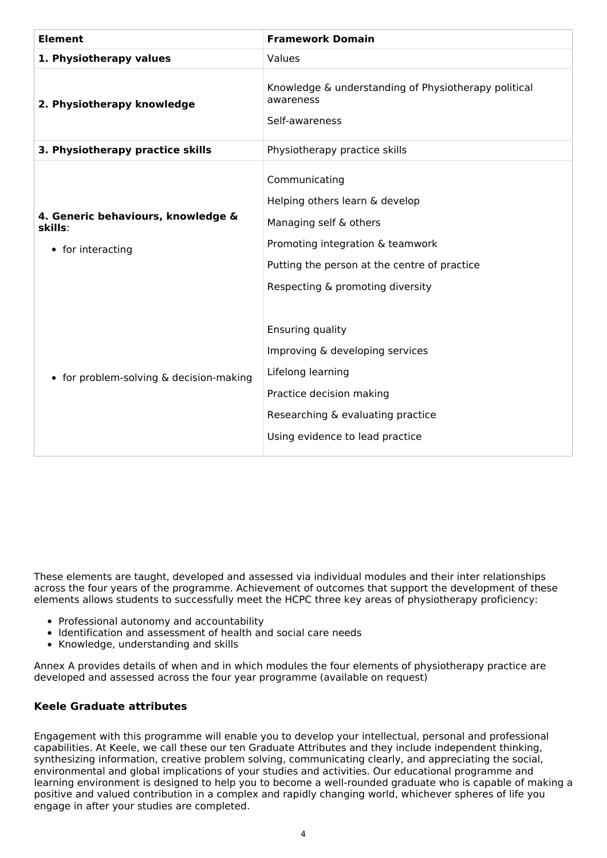| <b>Element</b>                                                     | <b>Framework Domain</b>                                                                                                                                                                           |
|--------------------------------------------------------------------|---------------------------------------------------------------------------------------------------------------------------------------------------------------------------------------------------|
| 1. Physiotherapy values                                            | Values                                                                                                                                                                                            |
| 2. Physiotherapy knowledge                                         | Knowledge & understanding of Physiotherapy political<br>awareness<br>Self-awareness                                                                                                               |
| 3. Physiotherapy practice skills                                   | Physiotherapy practice skills                                                                                                                                                                     |
| 4. Generic behaviours, knowledge &<br>skills:<br>• for interacting | Communicating<br>Helping others learn & develop<br>Managing self & others<br>Promoting integration & teamwork<br>Putting the person at the centre of practice<br>Respecting & promoting diversity |
| • for problem-solving & decision-making                            | Ensuring quality<br>Improving & developing services<br>Lifelong learning<br>Practice decision making<br>Researching & evaluating practice<br>Using evidence to lead practice                      |

These elements are taught, developed and assessed via individual modules and their inter relationships across the four years of the programme. Achievement of outcomes that support the development of these elements allows students to successfully meet the HCPC three key areas of physiotherapy proficiency:

- Professional autonomy and accountability
- Identification and assessment of health and social care needs
- Knowledge, understanding and skills

Annex A provides details of when and in which modules the four elements of physiotherapy practice are developed and assessed across the four year programme (available on request)

#### **Keele Graduate attributes**

Engagement with this programme will enable you to develop your intellectual, personal and professional capabilities. At Keele, we call these our ten Graduate Attributes and they include independent thinking, synthesizing information, creative problem solving, communicating clearly, and appreciating the social, environmental and global implications of your studies and activities. Our educational programme and learning environment is designed to help you to become a well-rounded graduate who is capable of making a positive and valued contribution in a complex and rapidly changing world, whichever spheres of life you engage in after your studies are completed.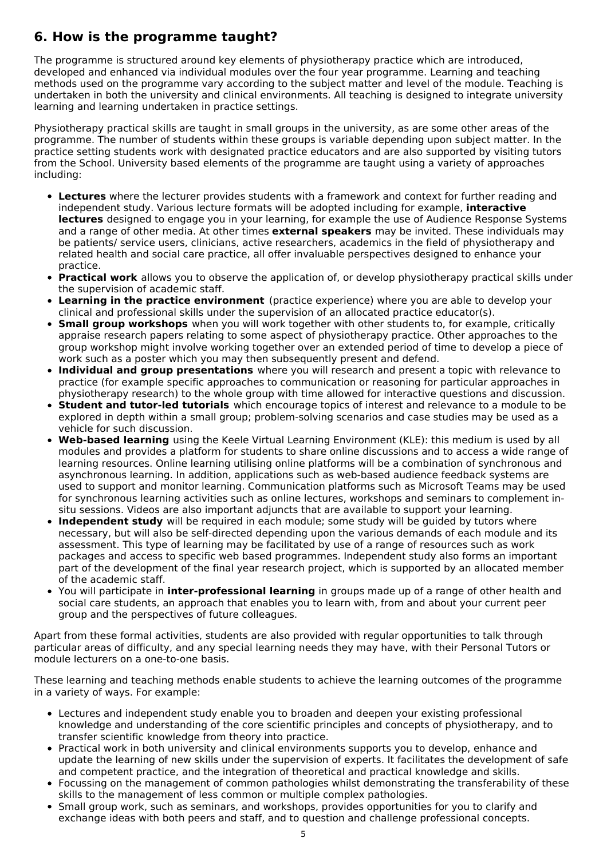# **6. How is the programme taught?**

The programme is structured around key elements of physiotherapy practice which are introduced, developed and enhanced via individual modules over the four year programme. Learning and teaching methods used on the programme vary according to the subject matter and level of the module. Teaching is undertaken in both the university and clinical environments. All teaching is designed to integrate university learning and learning undertaken in practice settings.

Physiotherapy practical skills are taught in small groups in the university, as are some other areas of the programme. The number of students within these groups is variable depending upon subject matter. In the practice setting students work with designated practice educators and are also supported by visiting tutors from the School. University based elements of the programme are taught using a variety of approaches including:

- **Lectures** where the lecturer provides students with a framework and context for further reading and independent study. Various lecture formats will be adopted including for example, **interactive lectures** designed to engage you in your learning, for example the use of Audience Response Systems and a range of other media. At other times **external speakers** may be invited. These individuals may be patients/ service users, clinicians, active researchers, academics in the field of physiotherapy and related health and social care practice, all offer invaluable perspectives designed to enhance your practice.
- **Practical work** allows you to observe the application of, or develop physiotherapy practical skills under the supervision of academic staff.
- **Learning in the practice environment** (practice experience) where you are able to develop your clinical and professional skills under the supervision of an allocated practice educator(s).
- **Small group workshops** when you will work together with other students to, for example, critically appraise research papers relating to some aspect of physiotherapy practice. Other approaches to the group workshop might involve working together over an extended period of time to develop a piece of work such as a poster which you may then subsequently present and defend.
- **Individual and group presentations** where you will research and present a topic with relevance to practice (for example specific approaches to communication or reasoning for particular approaches in physiotherapy research) to the whole group with time allowed for interactive questions and discussion.
- **Student and tutor-led tutorials** which encourage topics of interest and relevance to a module to be explored in depth within a small group; problem-solving scenarios and case studies may be used as a vehicle for such discussion.
- **Web-based learning** using the Keele Virtual Learning Environment (KLE): this medium is used by all modules and provides a platform for students to share online discussions and to access a wide range of learning resources. Online learning utilising online platforms will be a combination of synchronous and asynchronous learning. In addition, applications such as web-based audience feedback systems are used to support and monitor learning. Communication platforms such as Microsoft Teams may be used for synchronous learning activities such as online lectures, workshops and seminars to complement insitu sessions. Videos are also important adjuncts that are available to support your learning.
- **Independent study** will be required in each module; some study will be guided by tutors where necessary, but will also be self-directed depending upon the various demands of each module and its assessment. This type of learning may be facilitated by use of a range of resources such as work packages and access to specific web based programmes. Independent study also forms an important part of the development of the final year research project, which is supported by an allocated member of the academic staff.
- You will participate in **inter-professional learning** in groups made up of a range of other health and social care students, an approach that enables you to learn with, from and about your current peer group and the perspectives of future colleagues.

Apart from these formal activities, students are also provided with regular opportunities to talk through particular areas of difficulty, and any special learning needs they may have, with their Personal Tutors or module lecturers on a one-to-one basis.

These learning and teaching methods enable students to achieve the learning outcomes of the programme in a variety of ways. For example:

- Lectures and independent study enable you to broaden and deepen your existing professional knowledge and understanding of the core scientific principles and concepts of physiotherapy, and to transfer scientific knowledge from theory into practice.
- Practical work in both university and clinical environments supports you to develop, enhance and update the learning of new skills under the supervision of experts. It facilitates the development of safe and competent practice, and the integration of theoretical and practical knowledge and skills.
- Focussing on the management of common pathologies whilst demonstrating the transferability of these skills to the management of less common or multiple complex pathologies.
- Small group work, such as seminars, and workshops, provides opportunities for you to clarify and exchange ideas with both peers and staff, and to question and challenge professional concepts.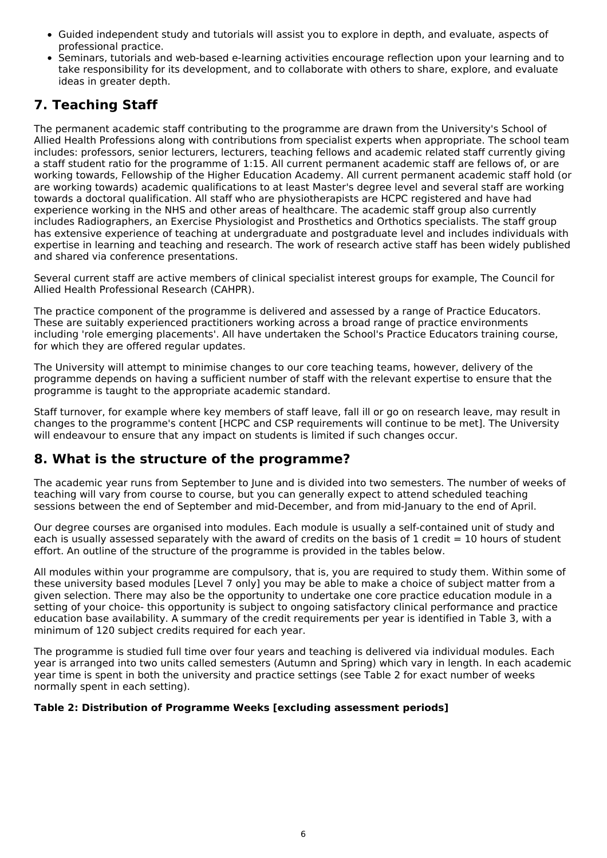- Guided independent study and tutorials will assist you to explore in depth, and evaluate, aspects of professional practice.
- Seminars, tutorials and web-based e-learning activities encourage reflection upon your learning and to take responsibility for its development, and to collaborate with others to share, explore, and evaluate ideas in greater depth.

# **7. Teaching Staff**

The permanent academic staff contributing to the programme are drawn from the University's School of Allied Health Professions along with contributions from specialist experts when appropriate. The school team includes: professors, senior lecturers, lecturers, teaching fellows and academic related staff currently giving a staff student ratio for the programme of 1:15. All current permanent academic staff are fellows of, or are working towards, Fellowship of the Higher Education Academy. All current permanent academic staff hold (or are working towards) academic qualifications to at least Master's degree level and several staff are working towards a doctoral qualification. All staff who are physiotherapists are HCPC registered and have had experience working in the NHS and other areas of healthcare. The academic staff group also currently includes Radiographers, an Exercise Physiologist and Prosthetics and Orthotics specialists. The staff group has extensive experience of teaching at undergraduate and postgraduate level and includes individuals with expertise in learning and teaching and research. The work of research active staff has been widely published and shared via conference presentations.

Several current staff are active members of clinical specialist interest groups for example, The Council for Allied Health Professional Research (CAHPR).

The practice component of the programme is delivered and assessed by a range of Practice Educators. These are suitably experienced practitioners working across a broad range of practice environments including 'role emerging placements'. All have undertaken the School's Practice Educators training course, for which they are offered regular updates.

The University will attempt to minimise changes to our core teaching teams, however, delivery of the programme depends on having a sufficient number of staff with the relevant expertise to ensure that the programme is taught to the appropriate academic standard.

Staff turnover, for example where key members of staff leave, fall ill or go on research leave, may result in changes to the programme's content [HCPC and CSP requirements will continue to be met]. The University will endeavour to ensure that any impact on students is limited if such changes occur.

### **8. What is the structure of the programme?**

The academic year runs from September to June and is divided into two semesters. The number of weeks of teaching will vary from course to course, but you can generally expect to attend scheduled teaching sessions between the end of September and mid-December, and from mid-January to the end of April.

Our degree courses are organised into modules. Each module is usually a self-contained unit of study and each is usually assessed separately with the award of credits on the basis of 1 credit  $= 10$  hours of student effort. An outline of the structure of the programme is provided in the tables below.

All modules within your programme are compulsory, that is, you are required to study them. Within some of these university based modules [Level 7 only] you may be able to make a choice of subject matter from a given selection. There may also be the opportunity to undertake one core practice education module in a setting of your choice- this opportunity is subject to ongoing satisfactory clinical performance and practice education base availability. A summary of the credit requirements per year is identified in Table 3, with a minimum of 120 subject credits required for each year.

The programme is studied full time over four years and teaching is delivered via individual modules. Each year is arranged into two units called semesters (Autumn and Spring) which vary in length. In each academic year time is spent in both the university and practice settings (see Table 2 for exact number of weeks normally spent in each setting).

### **Table 2: Distribution of Programme Weeks [excluding assessment periods]**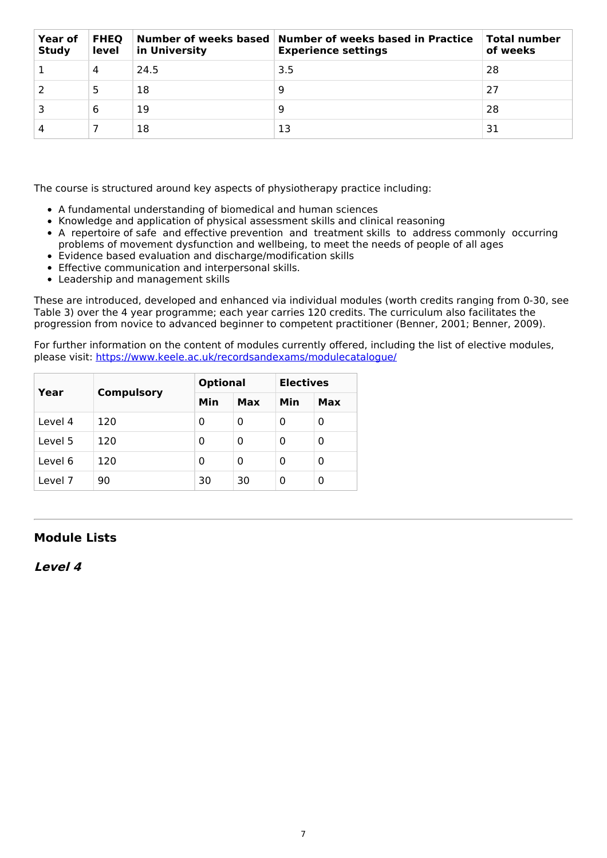| <b>Year of</b><br><b>Study</b> | <b>FHEO</b><br>level | in University | Number of weeks based   Number of weeks based in Practice<br><b>Experience settings</b> | Total number<br>of weeks |
|--------------------------------|----------------------|---------------|-----------------------------------------------------------------------------------------|--------------------------|
|                                | 4                    | 24.5          | 3.5                                                                                     | 28                       |
|                                | 5                    | 18            | 9                                                                                       | 27                       |
|                                | 6                    | 19            | 9                                                                                       | 28                       |
|                                |                      | 18            | 13                                                                                      | 31                       |

The course is structured around key aspects of physiotherapy practice including:

- A fundamental understanding of biomedical and human sciences
- Knowledge and application of physical assessment skills and clinical reasoning
- A repertoire of safe and effective prevention and treatment skills to address commonly occurring problems of movement dysfunction and wellbeing, to meet the needs of people of all ages
- Evidence based evaluation and discharge/modification skills
- **Effective communication and interpersonal skills.**
- Leadership and management skills

These are introduced, developed and enhanced via individual modules (worth credits ranging from 0-30, see Table 3) over the 4 year programme; each year carries 120 credits. The curriculum also facilitates the progression from novice to advanced beginner to competent practitioner (Benner, 2001; Benner, 2009).

For further information on the content of modules currently offered, including the list of elective modules, please visit: [https://www.keele.ac.uk/recordsandexams/modulecatalogue/](http://https//www.keele.ac.uk/recordsandexams/modulecatalogue/)

| Year<br><b>Compulsory</b> |     | <b>Optional</b> |     | <b>Electives</b> |     |
|---------------------------|-----|-----------------|-----|------------------|-----|
|                           |     | Min             | Max | Min              | Max |
| Level 4                   | 120 | 0               | 0   | 0                | 0   |
| Level 5                   | 120 | 0               | 0   | 0                | 0   |
| Level 6                   | 120 | 0               | 0   | 0                | 0   |
| Level 7                   | 90  | 30              | 30  | 0                | 0   |

### **Module Lists**

**Level 4**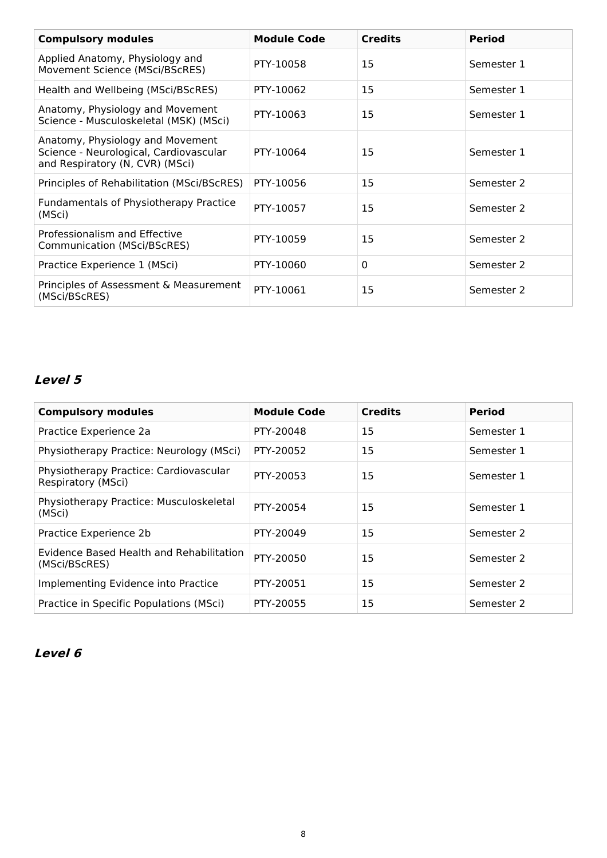| <b>Compulsory modules</b>                                                                                     | <b>Module Code</b> | <b>Credits</b> | <b>Period</b> |
|---------------------------------------------------------------------------------------------------------------|--------------------|----------------|---------------|
| Applied Anatomy, Physiology and<br>Movement Science (MSci/BScRES)                                             | PTY-10058          | 15             | Semester 1    |
| Health and Wellbeing (MSci/BScRES)                                                                            | PTY-10062          | 15             | Semester 1    |
| Anatomy, Physiology and Movement<br>Science - Musculoskeletal (MSK) (MSci)                                    | PTY-10063          | 15             | Semester 1    |
| Anatomy, Physiology and Movement<br>Science - Neurological, Cardiovascular<br>and Respiratory (N, CVR) (MSci) | PTY-10064          | 15             | Semester 1    |
| Principles of Rehabilitation (MSci/BScRES)                                                                    | PTY-10056          | 15             | Semester 2    |
| Fundamentals of Physiotherapy Practice<br>(MSci)                                                              | PTY-10057          | 15             | Semester 2    |
| Professionalism and Effective<br>Communication (MSci/BScRES)                                                  | PTY-10059          | 15             | Semester 2    |
| Practice Experience 1 (MSci)                                                                                  | PTY-10060          | $\mathbf 0$    | Semester 2    |
| Principles of Assessment & Measurement<br>(MSci/BScRES)                                                       | PTY-10061          | 15             | Semester 2    |

### **Level 5**

| <b>Compulsory modules</b>                                    | <b>Module Code</b> | <b>Credits</b> | <b>Period</b> |
|--------------------------------------------------------------|--------------------|----------------|---------------|
| Practice Experience 2a                                       | PTY-20048          | 15             | Semester 1    |
| Physiotherapy Practice: Neurology (MSci)                     | PTY-20052          | 15             | Semester 1    |
| Physiotherapy Practice: Cardiovascular<br>Respiratory (MSci) | PTY-20053          | 15             | Semester 1    |
| Physiotherapy Practice: Musculoskeletal<br>(MSci)            | PTY-20054          | 15             | Semester 1    |
| Practice Experience 2b                                       | PTY-20049          | 15             | Semester 2    |
| Evidence Based Health and Rehabilitation<br>(MSci/BScRES)    | PTY-20050          | 15             | Semester 2    |
| Implementing Evidence into Practice                          | PTY-20051          | 15             | Semester 2    |
| Practice in Specific Populations (MSci)                      | PTY-20055          | 15             | Semester 2    |

**Level 6**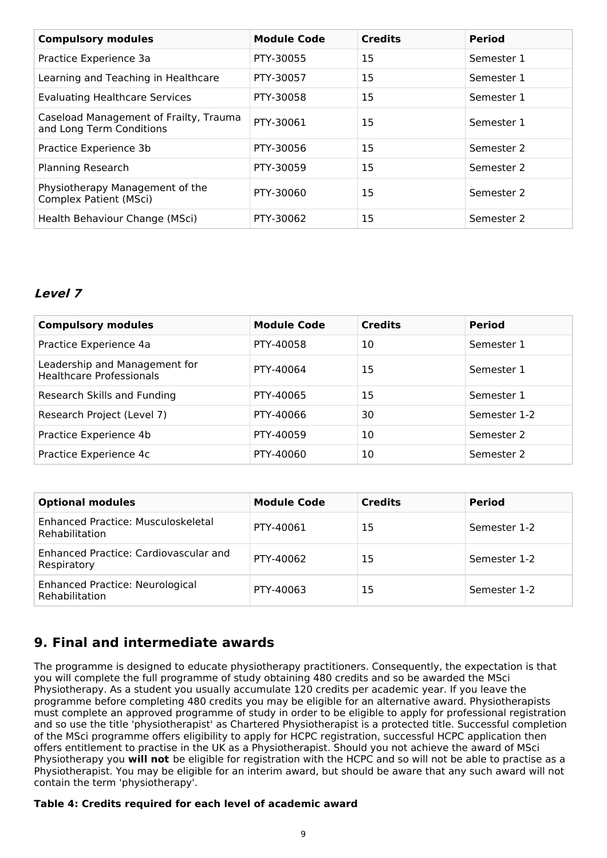| <b>Compulsory modules</b>                                          | <b>Module Code</b> | <b>Credits</b> | <b>Period</b> |
|--------------------------------------------------------------------|--------------------|----------------|---------------|
| Practice Experience 3a                                             | PTY-30055          | 15             | Semester 1    |
| Learning and Teaching in Healthcare                                | PTY-30057          | 15             | Semester 1    |
| <b>Evaluating Healthcare Services</b>                              | PTY-30058          | 15             | Semester 1    |
| Caseload Management of Frailty, Trauma<br>and Long Term Conditions | PTY-30061          | 15             | Semester 1    |
| Practice Experience 3b                                             | PTY-30056          | 15             | Semester 2    |
| <b>Planning Research</b>                                           | PTY-30059          | 15             | Semester 2    |
| Physiotherapy Management of the<br><b>Complex Patient (MSci)</b>   | PTY-30060          | 15             | Semester 2    |
| Health Behaviour Change (MSci)                                     | PTY-30062          | 15             | Semester 2    |

### **Level 7**

| <b>Compulsory modules</b>                                        | <b>Module Code</b> | <b>Credits</b> | <b>Period</b> |
|------------------------------------------------------------------|--------------------|----------------|---------------|
| Practice Experience 4a                                           | PTY-40058          | 10             | Semester 1    |
| Leadership and Management for<br><b>Healthcare Professionals</b> | PTY-40064          | 15             | Semester 1    |
| Research Skills and Funding                                      | PTY-40065          | 15             | Semester 1    |
| Research Project (Level 7)                                       | PTY-40066          | 30             | Semester 1-2  |
| Practice Experience 4b                                           | PTY-40059          | 10             | Semester 2    |
| Practice Experience 4c                                           | PTY-40060          | 10             | Semester 2    |

| <b>Optional modules</b>                                  | <b>Module Code</b> | <b>Credits</b> | <b>Period</b> |
|----------------------------------------------------------|--------------------|----------------|---------------|
| Enhanced Practice: Musculoskeletal<br>Rehabilitation     | PTY-40061          | 15             | Semester 1-2  |
| Enhanced Practice: Cardiovascular and<br>Respiratory     | PTY-40062          | 15             | Semester 1-2  |
| <b>Enhanced Practice: Neurological</b><br>Rehabilitation | PTY-40063          | 15             | Semester 1-2  |

# **9. Final and intermediate awards**

The programme is designed to educate physiotherapy practitioners. Consequently, the expectation is that you will complete the full programme of study obtaining 480 credits and so be awarded the MSci Physiotherapy. As a student you usually accumulate 120 credits per academic year. If you leave the programme before completing 480 credits you may be eligible for an alternative award. Physiotherapists must complete an approved programme of study in order to be eligible to apply for professional registration and so use the title 'physiotherapist' as Chartered Physiotherapist is a protected title. Successful completion of the MSci programme offers eligibility to apply for HCPC registration, successful HCPC application then offers entitlement to practise in the UK as a Physiotherapist. Should you not achieve the award of MSci Physiotherapy you **will not** be eligible for registration with the HCPC and so will not be able to practise as a Physiotherapist. You may be eligible for an interim award, but should be aware that any such award will not contain the term 'physiotherapy'.

### **Table 4: Credits required for each level of academic award**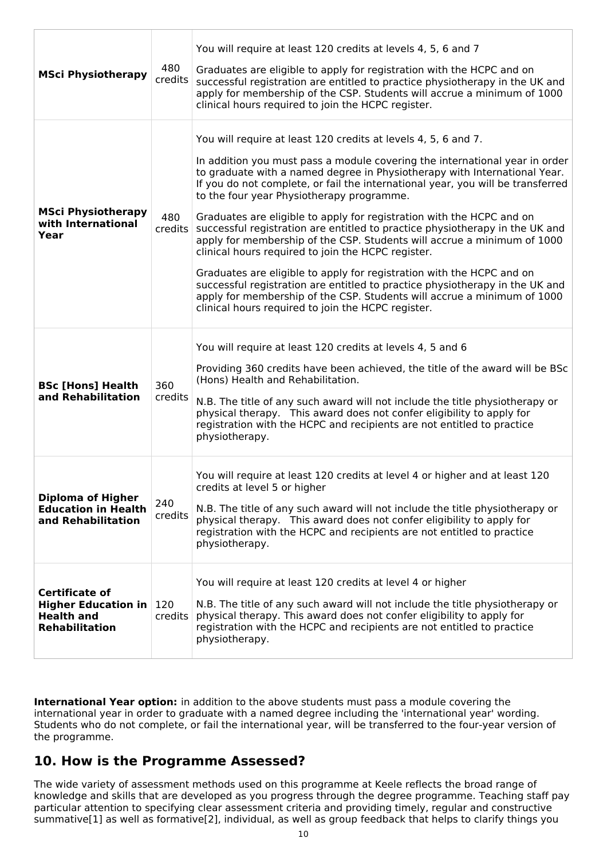| <b>MSci Physiotherapy</b>                                                                         | 480<br>credits | You will require at least 120 credits at levels 4, 5, 6 and 7<br>Graduates are eligible to apply for registration with the HCPC and on<br>successful registration are entitled to practice physiotherapy in the UK and<br>apply for membership of the CSP. Students will accrue a minimum of 1000<br>clinical hours required to join the HCPC register.                                                                                                                                                                                                                                                                                                                                                                                                                                                                                                                                                                                        |
|---------------------------------------------------------------------------------------------------|----------------|------------------------------------------------------------------------------------------------------------------------------------------------------------------------------------------------------------------------------------------------------------------------------------------------------------------------------------------------------------------------------------------------------------------------------------------------------------------------------------------------------------------------------------------------------------------------------------------------------------------------------------------------------------------------------------------------------------------------------------------------------------------------------------------------------------------------------------------------------------------------------------------------------------------------------------------------|
| <b>MSci Physiotherapy</b><br>with International<br>Year                                           | 480<br>credits | You will require at least 120 credits at levels 4, 5, 6 and 7.<br>In addition you must pass a module covering the international year in order<br>to graduate with a named degree in Physiotherapy with International Year.<br>If you do not complete, or fail the international year, you will be transferred<br>to the four year Physiotherapy programme.<br>Graduates are eligible to apply for registration with the HCPC and on<br>successful registration are entitled to practice physiotherapy in the UK and<br>apply for membership of the CSP. Students will accrue a minimum of 1000<br>clinical hours required to join the HCPC register.<br>Graduates are eligible to apply for registration with the HCPC and on<br>successful registration are entitled to practice physiotherapy in the UK and<br>apply for membership of the CSP. Students will accrue a minimum of 1000<br>clinical hours required to join the HCPC register. |
| <b>BSc [Hons] Health</b><br>and Rehabilitation                                                    | 360<br>credits | You will require at least 120 credits at levels 4, 5 and 6<br>Providing 360 credits have been achieved, the title of the award will be BSc<br>(Hons) Health and Rehabilitation.<br>N.B. The title of any such award will not include the title physiotherapy or<br>physical therapy. This award does not confer eligibility to apply for<br>registration with the HCPC and recipients are not entitled to practice<br>physiotherapy.                                                                                                                                                                                                                                                                                                                                                                                                                                                                                                           |
| <b>Diploma of Higher</b><br><b>Education in Health</b><br>and Rehabilitation                      | 240<br>credits | You will require at least 120 credits at level 4 or higher and at least 120<br>credits at level 5 or higher<br>N.B. The title of any such award will not include the title physiotherapy or<br>physical therapy. This award does not confer eligibility to apply for<br>registration with the HCPC and recipients are not entitled to practice<br>physiotherapy.                                                                                                                                                                                                                                                                                                                                                                                                                                                                                                                                                                               |
| <b>Certificate of</b><br><b>Higher Education in</b><br><b>Health and</b><br><b>Rehabilitation</b> | 120<br>credits | You will require at least 120 credits at level 4 or higher<br>N.B. The title of any such award will not include the title physiotherapy or<br>physical therapy. This award does not confer eligibility to apply for<br>registration with the HCPC and recipients are not entitled to practice<br>physiotherapy.                                                                                                                                                                                                                                                                                                                                                                                                                                                                                                                                                                                                                                |

**International Year option:** in addition to the above students must pass a module covering the international year in order to graduate with a named degree including the 'international year' wording. Students who do not complete, or fail the international year, will be transferred to the four-year version of the programme.

# **10. How is the Programme Assessed?**

The wide variety of assessment methods used on this programme at Keele reflects the broad range of knowledge and skills that are developed as you progress through the degree programme. Teaching staff pay particular attention to specifying clear assessment criteria and providing timely, regular and constructive summative[1] as well as formative[2], individual, as well as group feedback that helps to clarify things you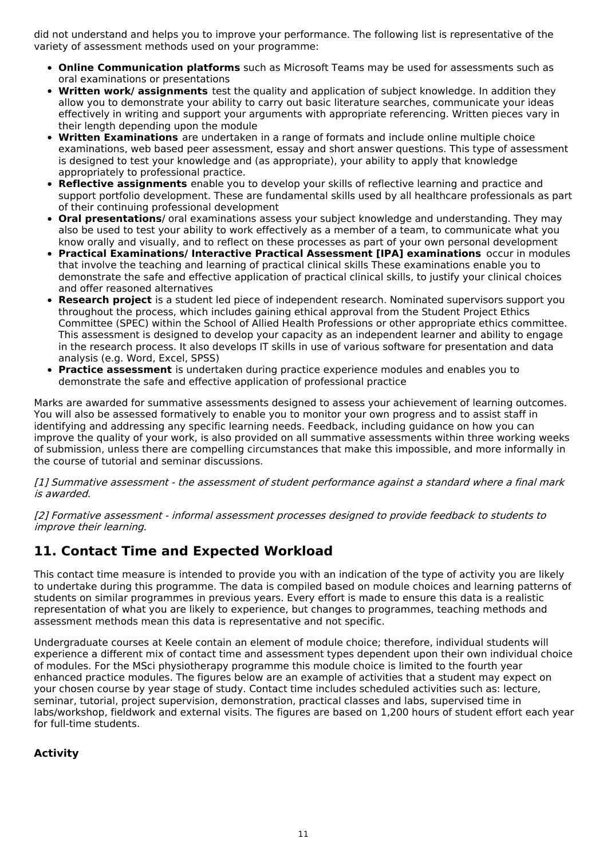did not understand and helps you to improve your performance. The following list is representative of the variety of assessment methods used on your programme:

- **Online Communication platforms** such as Microsoft Teams may be used for assessments such as oral examinations or presentations
- **Written work/ assignments** test the quality and application of subject knowledge. In addition they allow you to demonstrate your ability to carry out basic literature searches, communicate your ideas effectively in writing and support your arguments with appropriate referencing. Written pieces vary in their length depending upon the module
- **Written Examinations** are undertaken in a range of formats and include online multiple choice examinations, web based peer assessment, essay and short answer questions. This type of assessment is designed to test your knowledge and (as appropriate), your ability to apply that knowledge appropriately to professional practice.
- **Reflective assignments** enable you to develop your skills of reflective learning and practice and support portfolio development. These are fundamental skills used by all healthcare professionals as part of their continuing professional development
- **Oral presentations**/ oral examinations assess your subject knowledge and understanding. They may also be used to test your ability to work effectively as a member of a team, to communicate what you know orally and visually, and to reflect on these processes as part of your own personal development
- **Practical Examinations/ Interactive Practical Assessment [IPA] examinations** occur in modules that involve the teaching and learning of practical clinical skills These examinations enable you to demonstrate the safe and effective application of practical clinical skills, to justify your clinical choices and offer reasoned alternatives
- **Research project** is a student led piece of independent research. Nominated supervisors support you throughout the process, which includes gaining ethical approval from the Student Project Ethics Committee (SPEC) within the School of Allied Health Professions or other appropriate ethics committee. This assessment is designed to develop your capacity as an independent learner and ability to engage in the research process. It also develops IT skills in use of various software for presentation and data analysis (e.g. Word, Excel, SPSS)
- **Practice assessment** is undertaken during practice experience modules and enables you to demonstrate the safe and effective application of professional practice

Marks are awarded for summative assessments designed to assess your achievement of learning outcomes. You will also be assessed formatively to enable you to monitor your own progress and to assist staff in identifying and addressing any specific learning needs. Feedback, including guidance on how you can improve the quality of your work, is also provided on all summative assessments within three working weeks of submission, unless there are compelling circumstances that make this impossible, and more informally in the course of tutorial and seminar discussions.

[1] Summative assessment - the assessment of student performance against <sup>a</sup> standard where <sup>a</sup> final mark is awarded.

[2] Formative assessment - informal assessment processes designed to provide feedback to students to improve their learning.

### **11. Contact Time and Expected Workload**

This contact time measure is intended to provide you with an indication of the type of activity you are likely to undertake during this programme. The data is compiled based on module choices and learning patterns of students on similar programmes in previous years. Every effort is made to ensure this data is a realistic representation of what you are likely to experience, but changes to programmes, teaching methods and assessment methods mean this data is representative and not specific.

Undergraduate courses at Keele contain an element of module choice; therefore, individual students will experience a different mix of contact time and assessment types dependent upon their own individual choice of modules. For the MSci physiotherapy programme this module choice is limited to the fourth year enhanced practice modules. The figures below are an example of activities that a student may expect on your chosen course by year stage of study. Contact time includes scheduled activities such as: lecture, seminar, tutorial, project supervision, demonstration, practical classes and labs, supervised time in labs/workshop, fieldwork and external visits. The figures are based on 1,200 hours of student effort each year for full-time students.

### **Activity**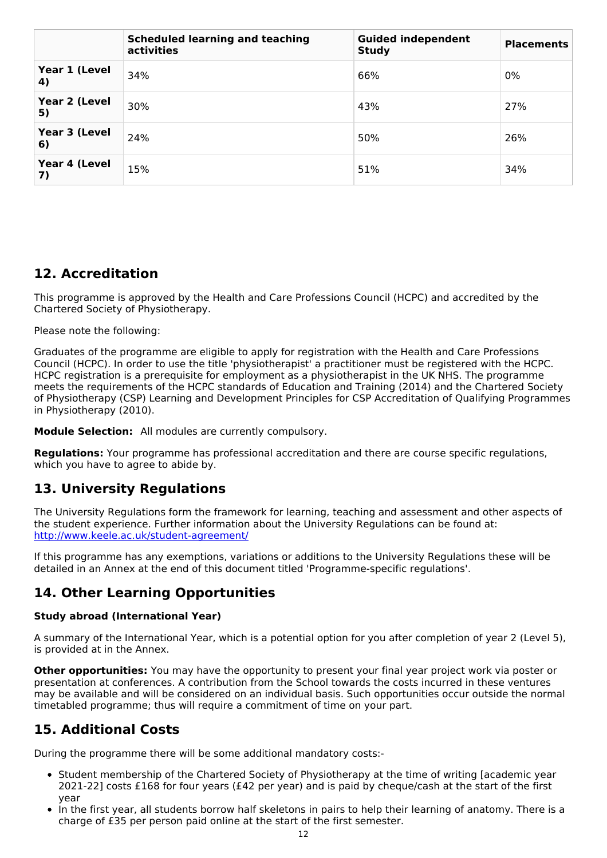|                     | <b>Scheduled learning and teaching</b><br>activities | <b>Guided independent</b><br><b>Study</b> | <b>Placements</b> |
|---------------------|------------------------------------------------------|-------------------------------------------|-------------------|
| Year 1 (Level<br>4) | 34%                                                  | 66%                                       | $0\%$             |
| Year 2 (Level<br>5) | 30%                                                  | 43%                                       | 27%               |
| Year 3 (Level<br>6) | 24%                                                  | 50%                                       | 26%               |
| Year 4 (Level<br>7) | 15%                                                  | 51%                                       | 34%               |

### **12. Accreditation**

This programme is approved by the Health and Care Professions Council (HCPC) and accredited by the Chartered Society of Physiotherapy.

Please note the following:

Graduates of the programme are eligible to apply for registration with the Health and Care Professions Council (HCPC). In order to use the title 'physiotherapist' a practitioner must be registered with the HCPC. HCPC registration is a prerequisite for employment as a physiotherapist in the UK NHS. The programme meets the requirements of the HCPC standards of Education and Training (2014) and the Chartered Society of Physiotherapy (CSP) Learning and Development Principles for CSP Accreditation of Qualifying Programmes in Physiotherapy (2010).

**Module Selection:** All modules are currently compulsory.

**Regulations:** Your programme has professional accreditation and there are course specific regulations, which you have to agree to abide by.

# **13. University Regulations**

The University Regulations form the framework for learning, teaching and assessment and other aspects of the student experience. Further information about the University Regulations can be found at: <http://www.keele.ac.uk/student-agreement/>

If this programme has any exemptions, variations or additions to the University Regulations these will be detailed in an Annex at the end of this document titled 'Programme-specific regulations'.

# **14. Other Learning Opportunities**

### **Study abroad (International Year)**

A summary of the International Year, which is a potential option for you after completion of year 2 (Level 5), is provided at in the Annex.

**Other opportunities:** You may have the opportunity to present your final year project work via poster or presentation at conferences. A contribution from the School towards the costs incurred in these ventures may be available and will be considered on an individual basis. Such opportunities occur outside the normal timetabled programme; thus will require a commitment of time on your part.

### **15. Additional Costs**

During the programme there will be some additional mandatory costs:-

- Student membership of the Chartered Society of Physiotherapy at the time of writing [academic year 2021-22] costs £168 for four years (£42 per year) and is paid by cheque/cash at the start of the first year
- In the first year, all students borrow half skeletons in pairs to help their learning of anatomy. There is a charge of £35 per person paid online at the start of the first semester.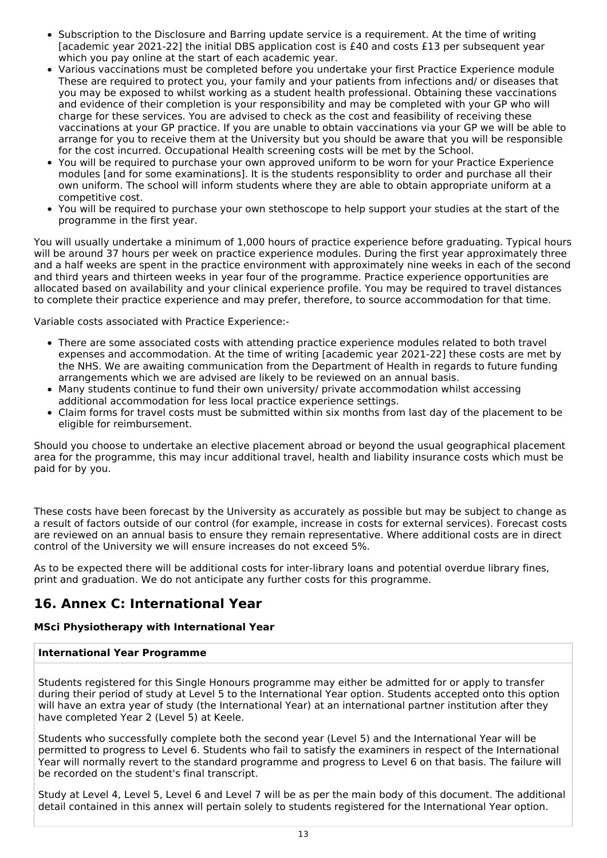- Subscription to the Disclosure and Barring update service is a requirement. At the time of writing [academic year 2021-22] the initial DBS application cost is £40 and costs £13 per subsequent year which you pay online at the start of each academic year.
- Various vaccinations must be completed before you undertake your first Practice Experience module These are required to protect you, your family and your patients from infections and/ or diseases that you may be exposed to whilst working as a student health professional. Obtaining these vaccinations and evidence of their completion is your responsibility and may be completed with your GP who will charge for these services. You are advised to check as the cost and feasibility of receiving these vaccinations at your GP practice. If you are unable to obtain vaccinations via your GP we will be able to arrange for you to receive them at the University but you should be aware that you will be responsible for the cost incurred. Occupational Health screening costs will be met by the School.
- You will be required to purchase your own approved uniform to be worn for your Practice Experience modules [and for some examinations]. It is the students responsiblity to order and purchase all their own uniform. The school will inform students where they are able to obtain appropriate uniform at a competitive cost.
- You will be required to purchase your own stethoscope to help support your studies at the start of the programme in the first year.

You will usually undertake a minimum of 1,000 hours of practice experience before graduating. Typical hours will be around 37 hours per week on practice experience modules. During the first year approximately three and a half weeks are spent in the practice environment with approximately nine weeks in each of the second and third years and thirteen weeks in year four of the programme. Practice experience opportunities are allocated based on availability and your clinical experience profile. You may be required to travel distances to complete their practice experience and may prefer, therefore, to source accommodation for that time.

Variable costs associated with Practice Experience:-

- There are some associated costs with attending practice experience modules related to both travel expenses and accommodation. At the time of writing [academic year 2021-22] these costs are met by the NHS. We are awaiting communication from the Department of Health in regards to future funding arrangements which we are advised are likely to be reviewed on an annual basis.
- Many students continue to fund their own university/ private accommodation whilst accessing additional accommodation for less local practice experience settings.
- Claim forms for travel costs must be submitted within six months from last day of the placement to be eligible for reimbursement.

Should you choose to undertake an elective placement abroad or beyond the usual geographical placement area for the programme, this may incur additional travel, health and liability insurance costs which must be paid for by you.

These costs have been forecast by the University as accurately as possible but may be subject to change as a result of factors outside of our control (for example, increase in costs for external services). Forecast costs are reviewed on an annual basis to ensure they remain representative. Where additional costs are in direct control of the University we will ensure increases do not exceed 5%.

As to be expected there will be additional costs for inter-library loans and potential overdue library fines, print and graduation. We do not anticipate any further costs for this programme.

# **16. Annex C: International Year**

### **MSci Physiotherapy with International Year**

#### **International Year Programme**

Students registered for this Single Honours programme may either be admitted for or apply to transfer during their period of study at Level 5 to the International Year option. Students accepted onto this option will have an extra year of study (the International Year) at an international partner institution after they have completed Year 2 (Level 5) at Keele.

Students who successfully complete both the second year (Level 5) and the International Year will be permitted to progress to Level 6. Students who fail to satisfy the examiners in respect of the International Year will normally revert to the standard programme and progress to Level 6 on that basis. The failure will be recorded on the student's final transcript.

Study at Level 4, Level 5, Level 6 and Level 7 will be as per the main body of this document. The additional detail contained in this annex will pertain solely to students registered for the International Year option.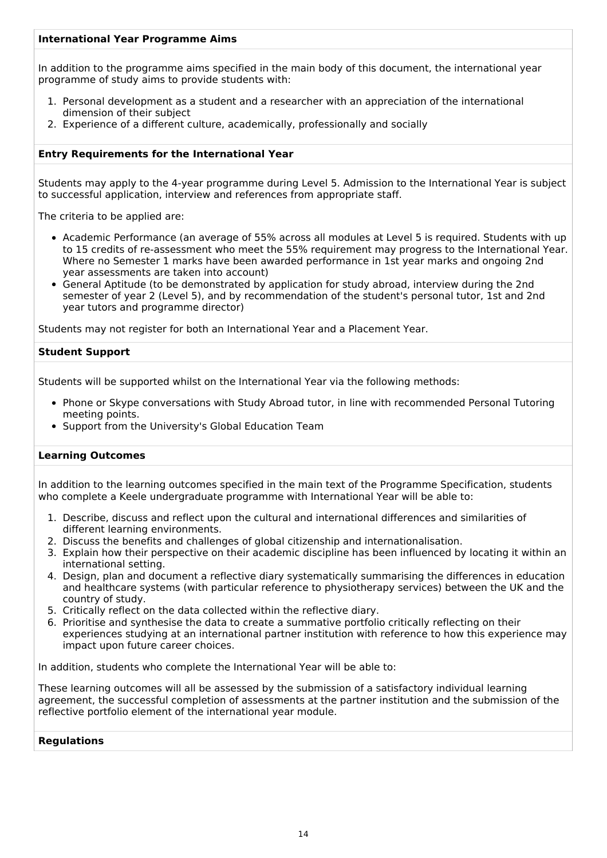#### **International Year Programme Aims**

In addition to the programme aims specified in the main body of this document, the international year programme of study aims to provide students with:

- 1. Personal development as a student and a researcher with an appreciation of the international dimension of their subject
- 2. Experience of a different culture, academically, professionally and socially

#### **Entry Requirements for the International Year**

Students may apply to the 4-year programme during Level 5. Admission to the International Year is subject to successful application, interview and references from appropriate staff.

The criteria to be applied are:

- Academic Performance (an average of 55% across all modules at Level 5 is required. Students with up to 15 credits of re-assessment who meet the 55% requirement may progress to the International Year. Where no Semester 1 marks have been awarded performance in 1st year marks and ongoing 2nd year assessments are taken into account)
- General Aptitude (to be demonstrated by application for study abroad, interview during the 2nd semester of year 2 (Level 5), and by recommendation of the student's personal tutor, 1st and 2nd year tutors and programme director)

Students may not register for both an International Year and a Placement Year.

#### **Student Support**

Students will be supported whilst on the International Year via the following methods:

- Phone or Skype conversations with Study Abroad tutor, in line with recommended Personal Tutoring meeting points.
- Support from the University's Global Education Team

#### **Learning Outcomes**

In addition to the learning outcomes specified in the main text of the Programme Specification, students who complete a Keele undergraduate programme with International Year will be able to:

- 1. Describe, discuss and reflect upon the cultural and international differences and similarities of different learning environments.
- 2. Discuss the benefits and challenges of global citizenship and internationalisation.
- 3. Explain how their perspective on their academic discipline has been influenced by locating it within an international setting.
- 4. Design, plan and document a reflective diary systematically summarising the differences in education and healthcare systems (with particular reference to physiotherapy services) between the UK and the country of study.
- 5. Critically reflect on the data collected within the reflective diary.
- 6. Prioritise and synthesise the data to create a summative portfolio critically reflecting on their experiences studying at an international partner institution with reference to how this experience may impact upon future career choices.

In addition, students who complete the International Year will be able to:

These learning outcomes will all be assessed by the submission of a satisfactory individual learning agreement, the successful completion of assessments at the partner institution and the submission of the reflective portfolio element of the international year module.

#### **Regulations**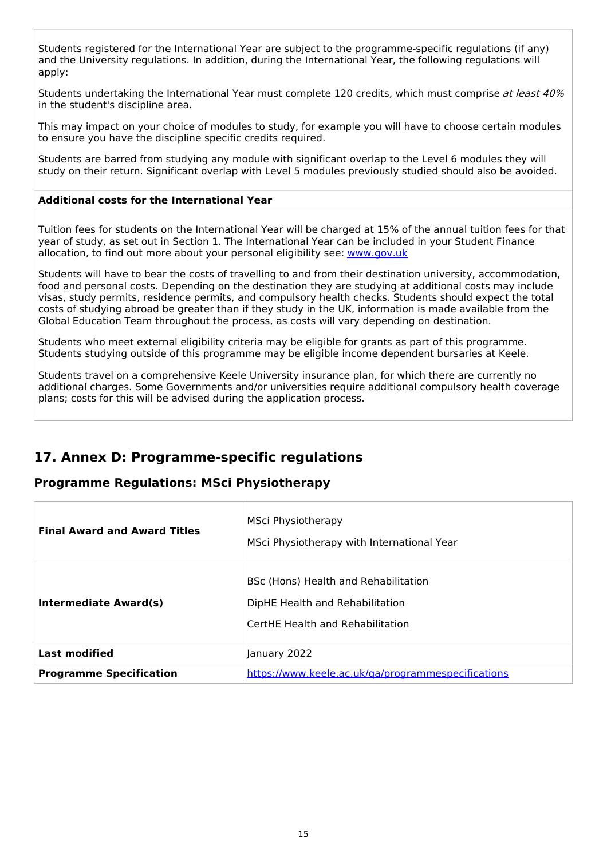Students registered for the International Year are subject to the programme-specific regulations (if any) and the University regulations. In addition, during the International Year, the following regulations will apply:

Students undertaking the International Year must complete 120 credits, which must comprise at least 40% in the student's discipline area.

This may impact on your choice of modules to study, for example you will have to choose certain modules to ensure you have the discipline specific credits required.

Students are barred from studying any module with significant overlap to the Level 6 modules they will study on their return. Significant overlap with Level 5 modules previously studied should also be avoided.

#### **Additional costs for the International Year**

Tuition fees for students on the International Year will be charged at 15% of the annual tuition fees for that year of study, as set out in Section 1. The International Year can be included in your Student Finance allocation, to find out more about your personal eligibility see: [www.gov.uk](http://www.gov.uk/)

Students will have to bear the costs of travelling to and from their destination university, accommodation, food and personal costs. Depending on the destination they are studying at additional costs may include visas, study permits, residence permits, and compulsory health checks. Students should expect the total costs of studying abroad be greater than if they study in the UK, information is made available from the Global Education Team throughout the process, as costs will vary depending on destination.

Students who meet external eligibility criteria may be eligible for grants as part of this programme. Students studying outside of this programme may be eligible income dependent bursaries at Keele.

Students travel on a comprehensive Keele University insurance plan, for which there are currently no additional charges. Some Governments and/or universities require additional compulsory health coverage plans; costs for this will be advised during the application process.

### **17. Annex D: Programme-specific regulations**

### **Programme Regulations: MSci Physiotherapy**

| <b>Final Award and Award Titles</b> | MSci Physiotherapy<br>MSci Physiotherapy with International Year                                            |
|-------------------------------------|-------------------------------------------------------------------------------------------------------------|
| <b>Intermediate Award(s)</b>        | BSc (Hons) Health and Rehabilitation<br>DipHE Health and Rehabilitation<br>CertHE Health and Rehabilitation |
| <b>Last modified</b>                | January 2022                                                                                                |
| <b>Programme Specification</b>      | https://www.keele.ac.uk/ga/programmespecifications                                                          |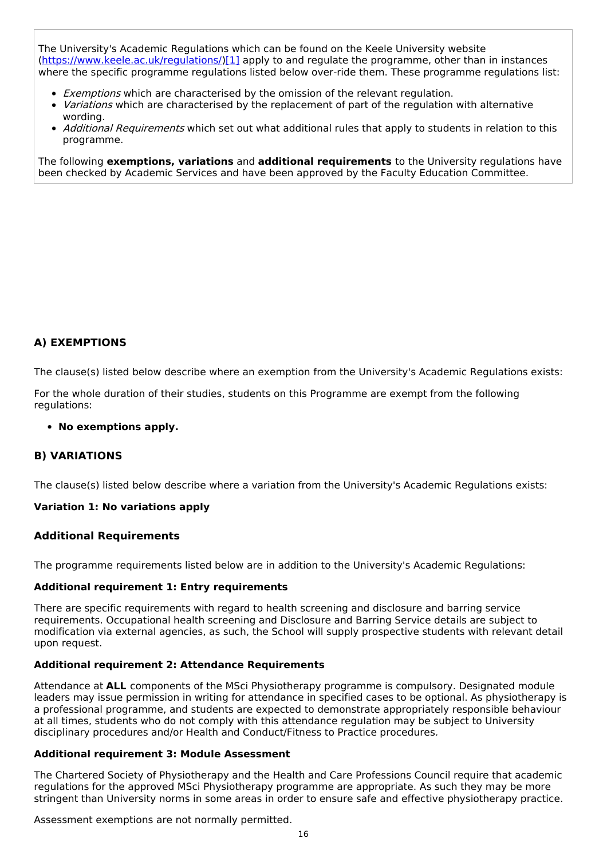The University's Academic Regulations which can be found on the Keele University website [\(https://www.keele.ac.uk/regulations/](https://www.keele.ac.uk/regulations/)[\)\[1\]](https://scims-api.keele.ac.uk/#_ftn1) apply to and regulate the programme, other than in instances where the specific programme regulations listed below over-ride them. These programme regulations list:

- **Exemptions which are characterised by the omission of the relevant regulation.**
- Variations which are characterised by the replacement of part of the regulation with alternative wording.
- Additional Requirements which set out what additional rules that apply to students in relation to this programme.

The following **exemptions, variations** and **additional requirements** to the University regulations have been checked by Academic Services and have been approved by the Faculty Education Committee.

#### **A) EXEMPTIONS**

The clause(s) listed below describe where an exemption from the University's Academic Regulations exists:

For the whole duration of their studies, students on this Programme are exempt from the following regulations:

#### **No exemptions apply.**

#### **B) VARIATIONS**

The clause(s) listed below describe where a variation from the University's Academic Regulations exists:

#### **Variation 1: No variations apply**

#### **Additional Requirements**

The programme requirements listed below are in addition to the University's Academic Regulations:

#### **Additional requirement 1: Entry requirements**

There are specific requirements with regard to health screening and disclosure and barring service requirements. Occupational health screening and Disclosure and Barring Service details are subject to modification via external agencies, as such, the School will supply prospective students with relevant detail upon request.

#### **Additional requirement 2: Attendance Requirements**

Attendance at **ALL** components of the MSci Physiotherapy programme is compulsory. Designated module leaders may issue permission in writing for attendance in specified cases to be optional. As physiotherapy is a professional programme, and students are expected to demonstrate appropriately responsible behaviour at all times, students who do not comply with this attendance regulation may be subject to University disciplinary procedures and/or Health and Conduct/Fitness to Practice procedures.

#### **Additional requirement 3: Module Assessment**

The Chartered Society of Physiotherapy and the Health and Care Professions Council require that academic regulations for the approved MSci Physiotherapy programme are appropriate. As such they may be more stringent than University norms in some areas in order to ensure safe and effective physiotherapy practice.

Assessment exemptions are not normally permitted.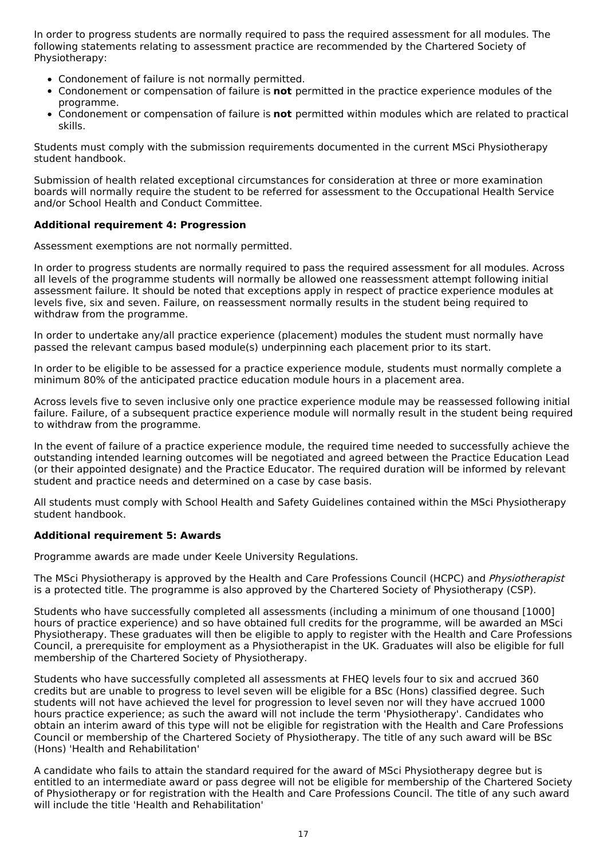In order to progress students are normally required to pass the required assessment for all modules. The following statements relating to assessment practice are recommended by the Chartered Society of Physiotherapy:

- Condonement of failure is not normally permitted.
- Condonement or compensation of failure is **not** permitted in the practice experience modules of the programme.
- Condonement or compensation of failure is **not** permitted within modules which are related to practical skills.

Students must comply with the submission requirements documented in the current MSci Physiotherapy student handbook.

Submission of health related exceptional circumstances for consideration at three or more examination boards will normally require the student to be referred for assessment to the Occupational Health Service and/or School Health and Conduct Committee.

#### **Additional requirement 4: Progression**

Assessment exemptions are not normally permitted.

In order to progress students are normally required to pass the required assessment for all modules. Across all levels of the programme students will normally be allowed one reassessment attempt following initial assessment failure. It should be noted that exceptions apply in respect of practice experience modules at levels five, six and seven. Failure, on reassessment normally results in the student being required to withdraw from the programme.

In order to undertake any/all practice experience (placement) modules the student must normally have passed the relevant campus based module(s) underpinning each placement prior to its start.

In order to be eligible to be assessed for a practice experience module, students must normally complete a minimum 80% of the anticipated practice education module hours in a placement area.

Across levels five to seven inclusive only one practice experience module may be reassessed following initial failure. Failure, of a subsequent practice experience module will normally result in the student being required to withdraw from the programme.

In the event of failure of a practice experience module, the required time needed to successfully achieve the outstanding intended learning outcomes will be negotiated and agreed between the Practice Education Lead (or their appointed designate) and the Practice Educator. The required duration will be informed by relevant student and practice needs and determined on a case by case basis.

All students must comply with School Health and Safety Guidelines contained within the MSci Physiotherapy student handbook.

#### **Additional requirement 5: Awards**

Programme awards are made under Keele University Regulations.

The MSci Physiotherapy is approved by the Health and Care Professions Council (HCPC) and *Physiotherapist* is a protected title. The programme is also approved by the Chartered Society of Physiotherapy (CSP).

Students who have successfully completed all assessments (including a minimum of one thousand [1000] hours of practice experience) and so have obtained full credits for the programme, will be awarded an MSci Physiotherapy. These graduates will then be eligible to apply to register with the Health and Care Professions Council, a prerequisite for employment as a Physiotherapist in the UK. Graduates will also be eligible for full membership of the Chartered Society of Physiotherapy.

Students who have successfully completed all assessments at FHEQ levels four to six and accrued 360 credits but are unable to progress to level seven will be eligible for a BSc (Hons) classified degree. Such students will not have achieved the level for progression to level seven nor will they have accrued 1000 hours practice experience; as such the award will not include the term 'Physiotherapy'. Candidates who obtain an interim award of this type will not be eligible for registration with the Health and Care Professions Council or membership of the Chartered Society of Physiotherapy. The title of any such award will be BSc (Hons) 'Health and Rehabilitation'

A candidate who fails to attain the standard required for the award of MSci Physiotherapy degree but is entitled to an intermediate award or pass degree will not be eligible for membership of the Chartered Society of Physiotherapy or for registration with the Health and Care Professions Council. The title of any such award will include the title 'Health and Rehabilitation'